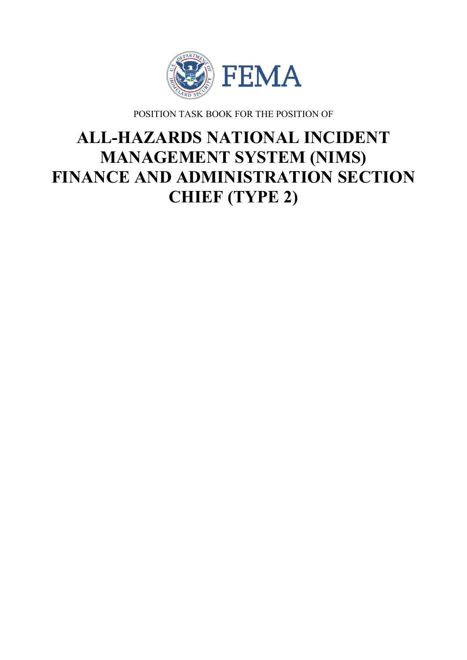

POSITION TASK BOOK FOR THE POSITION OF

# **ALL-HAZARDS NATIONAL INCIDENT MANAGEMENT SYSTEM (NIMS) FINANCE AND ADMINISTRATION SECTION CHIEF (TYPE 2)**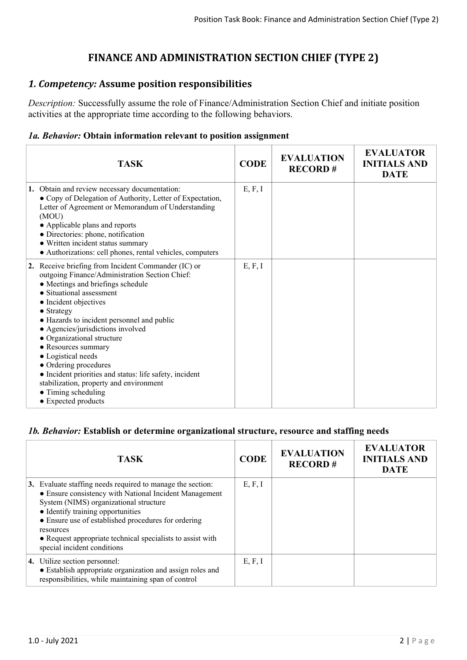# **FINANCE AND ADMINISTRATION SECTION CHIEF (TYPE 2)**

# *1. Competency:* **Assume position responsibilities**

*Description:* Successfully assume the role of Finance/Administration Section Chief and initiate position activities at the appropriate time according to the following behaviors.

#### *1a. Behavior:* **Obtain information relevant to position assignment**

| <b>TASK</b>                                                                                                                                                                                                                                                                                                                                                                                                                                                                                                                                                      | <b>CODE</b> | <b>EVALUATION</b><br><b>RECORD#</b> | <b>EVALUATOR</b><br><b>INITIALS AND</b><br><b>DATE</b> |
|------------------------------------------------------------------------------------------------------------------------------------------------------------------------------------------------------------------------------------------------------------------------------------------------------------------------------------------------------------------------------------------------------------------------------------------------------------------------------------------------------------------------------------------------------------------|-------------|-------------------------------------|--------------------------------------------------------|
| 1. Obtain and review necessary documentation:<br>• Copy of Delegation of Authority, Letter of Expectation,<br>Letter of Agreement or Memorandum of Understanding<br>(MOU)<br>• Applicable plans and reports<br>• Directories: phone, notification<br>• Written incident status summary<br>• Authorizations: cell phones, rental vehicles, computers                                                                                                                                                                                                              | E, F, I     |                                     |                                                        |
| 2. Receive briefing from Incident Commander (IC) or<br>outgoing Finance/Administration Section Chief:<br>• Meetings and briefings schedule<br>• Situational assessment<br>• Incident objectives<br>$\bullet$ Strategy<br>• Hazards to incident personnel and public<br>• Agencies/jurisdictions involved<br>• Organizational structure<br>• Resources summary<br>• Logistical needs<br>• Ordering procedures<br>• Incident priorities and status: life safety, incident<br>stabilization, property and environment<br>• Timing scheduling<br>• Expected products | E, F, I     |                                     |                                                        |

#### *1b. Behavior:* **Establish or determine organizational structure, resource and staffing needs**

|    | <b>TASK</b>                                                                                                                                                                                                                                                                                                                                                       | <b>CODE</b> | <b>EVALUATION</b><br><b>RECORD#</b> | <b>EVALUATOR</b><br><b>INITIALS AND</b><br><b>DATE</b> |
|----|-------------------------------------------------------------------------------------------------------------------------------------------------------------------------------------------------------------------------------------------------------------------------------------------------------------------------------------------------------------------|-------------|-------------------------------------|--------------------------------------------------------|
| 3. | Evaluate staffing needs required to manage the section:<br>• Ensure consistency with National Incident Management<br>System (NIMS) organizational structure<br>• Identify training opportunities<br>• Ensure use of established procedures for ordering<br>resources<br>• Request appropriate technical specialists to assist with<br>special incident conditions | E, F, I     |                                     |                                                        |
|    | <b>4.</b> Utilize section personnel:<br>• Establish appropriate organization and assign roles and<br>responsibilities, while maintaining span of control                                                                                                                                                                                                          | E, F, I     |                                     |                                                        |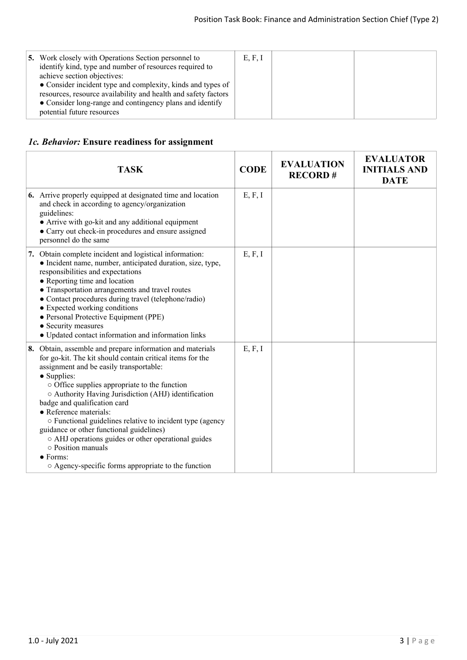# *1c. Behavior:* **Ensure readiness for assignment**

| <b>TASK</b>                                                                                                                                                                                                                                                                                                                                                                                                                                                                                                                                                                                                                              | <b>CODE</b> | <b>EVALUATION</b><br><b>RECORD#</b> | <b>EVALUATOR</b><br><b>INITIALS AND</b><br><b>DATE</b> |
|------------------------------------------------------------------------------------------------------------------------------------------------------------------------------------------------------------------------------------------------------------------------------------------------------------------------------------------------------------------------------------------------------------------------------------------------------------------------------------------------------------------------------------------------------------------------------------------------------------------------------------------|-------------|-------------------------------------|--------------------------------------------------------|
| 6. Arrive properly equipped at designated time and location<br>and check in according to agency/organization<br>guidelines:<br>• Arrive with go-kit and any additional equipment<br>• Carry out check-in procedures and ensure assigned<br>personnel do the same                                                                                                                                                                                                                                                                                                                                                                         | E, F, I     |                                     |                                                        |
| 7. Obtain complete incident and logistical information:<br>• Incident name, number, anticipated duration, size, type,<br>responsibilities and expectations<br>• Reporting time and location<br>• Transportation arrangements and travel routes<br>• Contact procedures during travel (telephone/radio)<br>• Expected working conditions<br>· Personal Protective Equipment (PPE)<br>• Security measures<br>• Updated contact information and information links                                                                                                                                                                           | E, F, I     |                                     |                                                        |
| 8. Obtain, assemble and prepare information and materials<br>for go-kit. The kit should contain critical items for the<br>assignment and be easily transportable:<br>$\bullet$ Supplies:<br>$\circ$ Office supplies appropriate to the function<br>○ Authority Having Jurisdiction (AHJ) identification<br>badge and qualification card<br>• Reference materials:<br>o Functional guidelines relative to incident type (agency<br>guidance or other functional guidelines)<br>○ AHJ operations guides or other operational guides<br>$\circ$ Position manuals<br>$\bullet$ Forms:<br>○ Agency-specific forms appropriate to the function | E, F, I     |                                     |                                                        |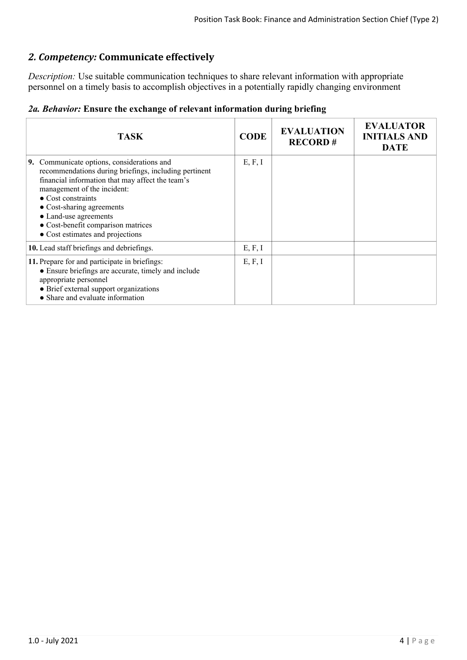# *2. Competency:* **Communicate effectively**

*Description:* Use suitable communication techniques to share relevant information with appropriate personnel on a timely basis to accomplish objectives in a potentially rapidly changing environment

|  |  |  |  |  | 2a. Behavior: Ensure the exchange of relevant information during briefing |  |  |
|--|--|--|--|--|---------------------------------------------------------------------------|--|--|
|--|--|--|--|--|---------------------------------------------------------------------------|--|--|

| <b>TASK</b>                                                                                                                                                                                                                                                                                                                                                  | <b>CODE</b> | <b>EVALUATION</b><br><b>RECORD#</b> | <b>EVALUATOR</b><br><b>INITIALS AND</b><br><b>DATE</b> |
|--------------------------------------------------------------------------------------------------------------------------------------------------------------------------------------------------------------------------------------------------------------------------------------------------------------------------------------------------------------|-------------|-------------------------------------|--------------------------------------------------------|
| 9. Communicate options, considerations and<br>recommendations during briefings, including pertinent<br>financial information that may affect the team's<br>management of the incident:<br>$\bullet$ Cost constraints<br>$\bullet$ Cost-sharing agreements<br>• Land-use agreements<br>• Cost-benefit comparison matrices<br>• Cost estimates and projections | E, F, I     |                                     |                                                        |
| 10. Lead staff briefings and debriefings.                                                                                                                                                                                                                                                                                                                    | E, F, I     |                                     |                                                        |
| 11. Prepare for and participate in briefings:<br>• Ensure briefings are accurate, timely and include<br>appropriate personnel<br>• Brief external support organizations<br>• Share and evaluate information                                                                                                                                                  | E, F, I     |                                     |                                                        |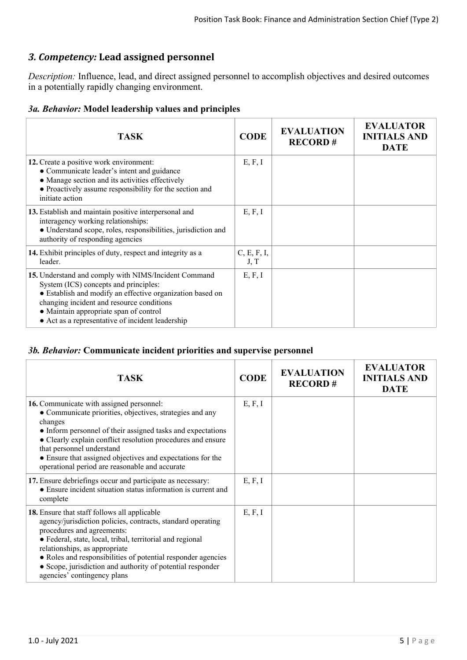# *3. Competency:* **Lead assigned personnel**

*Description:* Influence, lead, and direct assigned personnel to accomplish objectives and desired outcomes in a potentially rapidly changing environment.

# *3a. Behavior:* **Model leadership values and principles**

| <b>TASK</b>                                                                                                                                                                                                                                                                                           | <b>CODE</b>         | <b>EVALUATION</b><br><b>RECORD#</b> | <b>EVALUATOR</b><br><b>INITIALS AND</b><br><b>DATE</b> |
|-------------------------------------------------------------------------------------------------------------------------------------------------------------------------------------------------------------------------------------------------------------------------------------------------------|---------------------|-------------------------------------|--------------------------------------------------------|
| 12. Create a positive work environment:<br>• Communicate leader's intent and guidance<br>• Manage section and its activities effectively<br>• Proactively assume responsibility for the section and<br>initiate action                                                                                | E, F, I             |                                     |                                                        |
| 13. Establish and maintain positive interpersonal and<br>interagency working relationships:<br>· Understand scope, roles, responsibilities, jurisdiction and<br>authority of responding agencies                                                                                                      | E, F, I             |                                     |                                                        |
| 14. Exhibit principles of duty, respect and integrity as a<br>leader.                                                                                                                                                                                                                                 | C, E, F, I,<br>J, T |                                     |                                                        |
| 15. Understand and comply with NIMS/Incident Command<br>System (ICS) concepts and principles:<br>• Establish and modify an effective organization based on<br>changing incident and resource conditions<br>• Maintain appropriate span of control<br>• Act as a representative of incident leadership | E, F, I             |                                     |                                                        |

## *3b. Behavior:* **Communicate incident priorities and supervise personnel**

| <b>TASK</b>                                                                                                                                                                                                                                                                                                                                                                                          | <b>CODE</b> | <b>EVALUATION</b><br><b>RECORD#</b> | <b>EVALUATOR</b><br><b>INITIALS AND</b><br><b>DATE</b> |
|------------------------------------------------------------------------------------------------------------------------------------------------------------------------------------------------------------------------------------------------------------------------------------------------------------------------------------------------------------------------------------------------------|-------------|-------------------------------------|--------------------------------------------------------|
| <b>16.</b> Communicate with assigned personnel:<br>• Communicate priorities, objectives, strategies and any<br>changes<br>• Inform personnel of their assigned tasks and expectations<br>• Clearly explain conflict resolution procedures and ensure<br>that personnel understand<br>• Ensure that assigned objectives and expectations for the<br>operational period are reasonable and accurate    | E, F, I     |                                     |                                                        |
| 17. Ensure debriefings occur and participate as necessary:<br>• Ensure incident situation status information is current and<br>complete                                                                                                                                                                                                                                                              | E, F, I     |                                     |                                                        |
| 18. Ensure that staff follows all applicable<br>agency/jurisdiction policies, contracts, standard operating<br>procedures and agreements:<br>• Federal, state, local, tribal, territorial and regional<br>relationships, as appropriate<br>• Roles and responsibilities of potential responder agencies<br>• Scope, jurisdiction and authority of potential responder<br>agencies' contingency plans | E, F, I     |                                     |                                                        |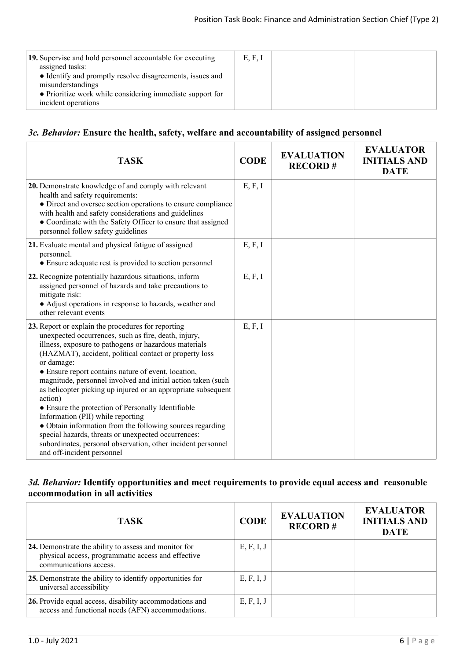| 19. Supervise and hold personnel accountable for executing<br>assigned tasks:<br>• Identify and promptly resolve disagreements, issues and<br>misunderstandings<br>• Prioritize work while considering immediate support for<br>incident operations | E, F, I |  |
|-----------------------------------------------------------------------------------------------------------------------------------------------------------------------------------------------------------------------------------------------------|---------|--|
|                                                                                                                                                                                                                                                     |         |  |

# *3c. Behavior:* **Ensure the health, safety, welfare and accountability of assigned personnel**

| <b>TASK</b>                                                                                                                                                                                                                                                                                                                                                                                                                                                                                                                                                                                                                                                                                                                                                 | <b>CODE</b> | <b>EVALUATION</b><br><b>RECORD#</b> | <b>EVALUATOR</b><br><b>INITIALS AND</b><br><b>DATE</b> |
|-------------------------------------------------------------------------------------------------------------------------------------------------------------------------------------------------------------------------------------------------------------------------------------------------------------------------------------------------------------------------------------------------------------------------------------------------------------------------------------------------------------------------------------------------------------------------------------------------------------------------------------------------------------------------------------------------------------------------------------------------------------|-------------|-------------------------------------|--------------------------------------------------------|
| 20. Demonstrate knowledge of and comply with relevant<br>health and safety requirements:<br>• Direct and oversee section operations to ensure compliance<br>with health and safety considerations and guidelines<br>• Coordinate with the Safety Officer to ensure that assigned<br>personnel follow safety guidelines                                                                                                                                                                                                                                                                                                                                                                                                                                      | E, F, I     |                                     |                                                        |
| 21. Evaluate mental and physical fatigue of assigned<br>personnel.<br>• Ensure adequate rest is provided to section personnel                                                                                                                                                                                                                                                                                                                                                                                                                                                                                                                                                                                                                               | E, F, I     |                                     |                                                        |
| 22. Recognize potentially hazardous situations, inform<br>assigned personnel of hazards and take precautions to<br>mitigate risk:<br>• Adjust operations in response to hazards, weather and<br>other relevant events                                                                                                                                                                                                                                                                                                                                                                                                                                                                                                                                       | E, F, I     |                                     |                                                        |
| 23. Report or explain the procedures for reporting<br>unexpected occurrences, such as fire, death, injury,<br>illness, exposure to pathogens or hazardous materials<br>(HAZMAT), accident, political contact or property loss<br>or damage:<br>• Ensure report contains nature of event, location,<br>magnitude, personnel involved and initial action taken (such<br>as helicopter picking up injured or an appropriate subsequent<br>action)<br>• Ensure the protection of Personally Identifiable<br>Information (PII) while reporting<br>• Obtain information from the following sources regarding<br>special hazards, threats or unexpected occurrences:<br>subordinates, personal observation, other incident personnel<br>and off-incident personnel | E, F, I     |                                     |                                                        |

# *3d. Behavior:* **Identify opportunities and meet requirements to provide equal access and reasonable accommodation in all activities**

| <b>TASK</b>                                                                                                                           | <b>CODE</b> | <b>EVALUATION</b><br><b>RECORD#</b> | <b>EVALUATOR</b><br><b>INITIALS AND</b><br><b>DATE</b> |
|---------------------------------------------------------------------------------------------------------------------------------------|-------------|-------------------------------------|--------------------------------------------------------|
| 24. Demonstrate the ability to assess and monitor for<br>physical access, programmatic access and effective<br>communications access. | E, F, I, J  |                                     |                                                        |
| 25. Demonstrate the ability to identify opportunities for<br>universal accessibility                                                  | E, F, I, J  |                                     |                                                        |
| 26. Provide equal access, disability accommodations and<br>access and functional needs (AFN) accommodations.                          | E, F, I, J  |                                     |                                                        |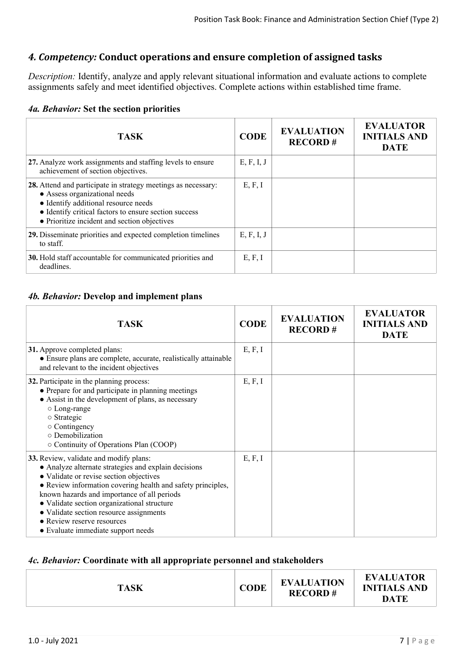# *4. Competency:* **Conduct operations and ensure completion of assigned tasks**

*Description:* Identify, analyze and apply relevant situational information and evaluate actions to complete assignments safely and meet identified objectives. Complete actions within established time frame.

#### *4a. Behavior:* **Set the section priorities**

| <b>TASK</b>                                                                                                                                                                                                                                     | <b>CODE</b> | <b>EVALUATION</b><br><b>RECORD#</b> | <b>EVALUATOR</b><br><b>INITIALS AND</b><br><b>DATE</b> |
|-------------------------------------------------------------------------------------------------------------------------------------------------------------------------------------------------------------------------------------------------|-------------|-------------------------------------|--------------------------------------------------------|
| 27. Analyze work assignments and staffing levels to ensure<br>achievement of section objectives.                                                                                                                                                | E, F, I, J  |                                     |                                                        |
| 28. Attend and participate in strategy meetings as necessary:<br>• Assess organizational needs<br>• Identify additional resource needs<br>• Identify critical factors to ensure section success<br>• Prioritize incident and section objectives | E, F, I     |                                     |                                                        |
| 29. Disseminate priorities and expected completion timelines<br>to staff.                                                                                                                                                                       | E, F, I, J  |                                     |                                                        |
| 30. Hold staff accountable for communicated priorities and<br>deadlines.                                                                                                                                                                        | E, F, I     |                                     |                                                        |

# *4b. Behavior:* **Develop and implement plans**

| <b>TASK</b>                                                                                                                                                                                                                                                                                                                                                                                                           | <b>CODE</b> | <b>EVALUATION</b><br><b>RECORD#</b> | <b>EVALUATOR</b><br><b>INITIALS AND</b><br><b>DATE</b> |
|-----------------------------------------------------------------------------------------------------------------------------------------------------------------------------------------------------------------------------------------------------------------------------------------------------------------------------------------------------------------------------------------------------------------------|-------------|-------------------------------------|--------------------------------------------------------|
| 31. Approve completed plans:<br>• Ensure plans are complete, accurate, realistically attainable<br>and relevant to the incident objectives                                                                                                                                                                                                                                                                            | E, F, I     |                                     |                                                        |
| 32. Participate in the planning process:<br>• Prepare for and participate in planning meetings<br>• Assist in the development of plans, as necessary<br>$\circ$ Long-range<br>$\circ$ Strategic<br>$\circ$ Contingency<br>o Demobilization<br>○ Continuity of Operations Plan (COOP)                                                                                                                                  | E, F, I     |                                     |                                                        |
| 33. Review, validate and modify plans:<br>• Analyze alternate strategies and explain decisions<br>• Validate or revise section objectives<br>• Review information covering health and safety principles,<br>known hazards and importance of all periods<br>• Validate section organizational structure<br>• Validate section resource assignments<br>• Review reserve resources<br>• Evaluate immediate support needs | E, F, I     |                                     |                                                        |

## *4c. Behavior:* **Coordinate with all appropriate personnel and stakeholders**

| <b>TASK</b> | <b>CODE</b> | <b>EVALUATION</b><br><b>RECORD#</b> | <b>EVALUATOR</b><br><b>INITIALS AND</b><br><b>DATE</b> |
|-------------|-------------|-------------------------------------|--------------------------------------------------------|
|             |             |                                     |                                                        |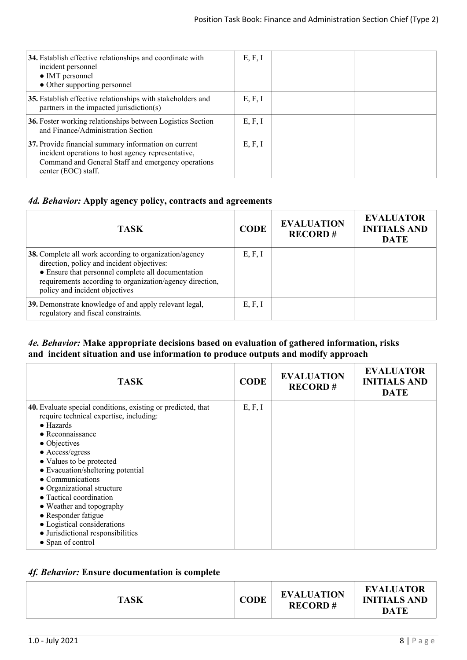| 34. Establish effective relationships and coordinate with<br>incident personnel<br>• IMT personnel<br>• Other supporting personnel                                                      | E, F, I |  |
|-----------------------------------------------------------------------------------------------------------------------------------------------------------------------------------------|---------|--|
| 35. Establish effective relationships with stakeholders and<br>partners in the impacted jurisdiction(s)                                                                                 | E, F, I |  |
| 36. Foster working relationships between Logistics Section<br>and Finance/Administration Section                                                                                        | E, F, I |  |
| 37. Provide financial summary information on current<br>incident operations to host agency representative,<br>Command and General Staff and emergency operations<br>center (EOC) staff. | E, F, I |  |

# *4d. Behavior:* **Apply agency policy, contracts and agreements**

| <b>TASK</b>                                                                                                                                                                                                                                              | <b>CODE</b> | <b>EVALUATION</b><br><b>RECORD#</b> | <b>EVALUATOR</b><br><b>INITIALS AND</b><br><b>DATE</b> |
|----------------------------------------------------------------------------------------------------------------------------------------------------------------------------------------------------------------------------------------------------------|-------------|-------------------------------------|--------------------------------------------------------|
| 38. Complete all work according to organization/agency<br>direction, policy and incident objectives:<br>• Ensure that personnel complete all documentation<br>requirements according to organization/agency direction,<br>policy and incident objectives | E, F, I     |                                     |                                                        |
| 39. Demonstrate knowledge of and apply relevant legal,<br>regulatory and fiscal constraints.                                                                                                                                                             | E, F, I     |                                     |                                                        |

# *4e. Behavior:* **Make appropriate decisions based on evaluation of gathered information, risks and incident situation and use information to produce outputs and modify approach**

| <b>TASK</b>                                                  | <b>CODE</b> | <b>EVALUATION</b><br><b>RECORD#</b> | <b>EVALUATOR</b><br><b>INITIALS AND</b><br><b>DATE</b> |
|--------------------------------------------------------------|-------------|-------------------------------------|--------------------------------------------------------|
| 40. Evaluate special conditions, existing or predicted, that | E, F, I     |                                     |                                                        |
| require technical expertise, including:<br>$\bullet$ Hazards |             |                                     |                                                        |
| $\bullet$ Reconnaissance                                     |             |                                     |                                                        |
| $\bullet$ Objectives                                         |             |                                     |                                                        |
| • Access/egress                                              |             |                                     |                                                        |
| • Values to be protected                                     |             |                                     |                                                        |
| • Evacuation/sheltering potential                            |             |                                     |                                                        |
| $\bullet$ Communications                                     |             |                                     |                                                        |
| • Organizational structure                                   |             |                                     |                                                        |
| • Tactical coordination                                      |             |                                     |                                                        |
| • Weather and topography                                     |             |                                     |                                                        |
| • Responder fatigue                                          |             |                                     |                                                        |
| • Logistical considerations                                  |             |                                     |                                                        |
| • Jurisdictional responsibilities                            |             |                                     |                                                        |
| • Span of control                                            |             |                                     |                                                        |

# *4f. Behavior:* **Ensure documentation is complete**

| <b>EVALUATOR</b><br><b>EVALUATION</b><br><b>CODE</b><br><b>INITIALS AND</b><br><b>TASK</b><br><b>RECORD#</b><br>DATE |
|----------------------------------------------------------------------------------------------------------------------|
|----------------------------------------------------------------------------------------------------------------------|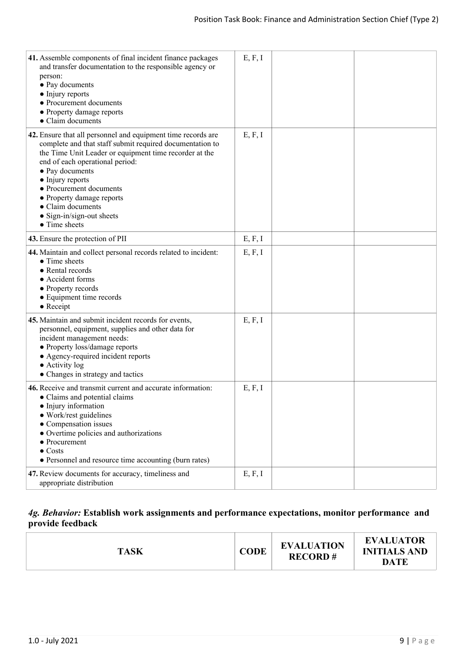| 41. Assemble components of final incident finance packages<br>and transfer documentation to the responsible agency or<br>person:<br>• Pay documents<br>• Injury reports<br>• Procurement documents<br>• Property damage reports<br>• Claim documents                                                                                                                                                    | E, F, I |  |
|---------------------------------------------------------------------------------------------------------------------------------------------------------------------------------------------------------------------------------------------------------------------------------------------------------------------------------------------------------------------------------------------------------|---------|--|
| 42. Ensure that all personnel and equipment time records are<br>complete and that staff submit required documentation to<br>the Time Unit Leader or equipment time recorder at the<br>end of each operational period:<br>• Pay documents<br>• Injury reports<br>• Procurement documents<br>• Property damage reports<br>• Claim documents<br>$\bullet$ Sign-in/sign-out sheets<br>$\bullet$ Time sheets | E, F, I |  |
| 43. Ensure the protection of PII                                                                                                                                                                                                                                                                                                                                                                        | E, F, I |  |
| 44. Maintain and collect personal records related to incident:<br>• Time sheets<br>• Rental records<br>• Accident forms<br>• Property records<br>• Equipment time records<br>$\bullet$ Receipt                                                                                                                                                                                                          | E, F, I |  |
| 45. Maintain and submit incident records for events,<br>personnel, equipment, supplies and other data for<br>incident management needs:<br>• Property loss/damage reports<br>• Agency-required incident reports<br>$\bullet$ Activity log<br>• Changes in strategy and tactics                                                                                                                          | E, F, I |  |
| 46. Receive and transmit current and accurate information:<br>• Claims and potential claims<br>• Injury information<br>• Work/rest guidelines<br>• Compensation issues<br>• Overtime policies and authorizations<br>$\bullet$ Procurement<br>$\bullet$ Costs<br>• Personnel and resource time accounting (burn rates)                                                                                   | E, F, I |  |
| 47. Review documents for accuracy, timeliness and<br>appropriate distribution                                                                                                                                                                                                                                                                                                                           | E, F, I |  |

# *4g. Behavior:* **Establish work assignments and performance expectations, monitor performance and provide feedback**

| <b>EVALUATION</b><br><b>CODE</b><br><b>TASK</b><br><b>RECORD#</b> |
|-------------------------------------------------------------------|
|-------------------------------------------------------------------|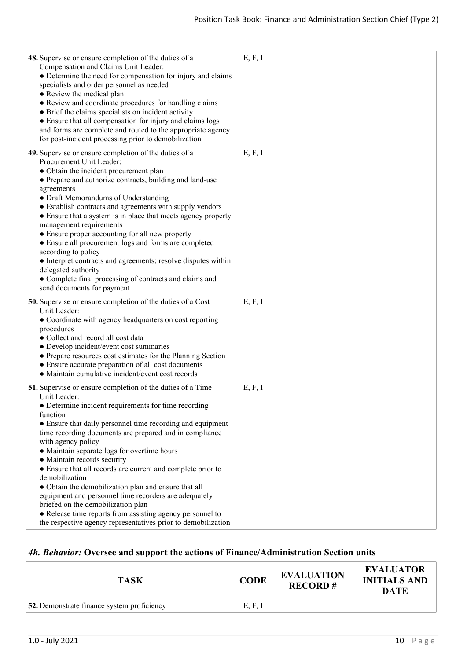| 48. Supervise or ensure completion of the duties of a<br>Compensation and Claims Unit Leader:<br>• Determine the need for compensation for injury and claims<br>specialists and order personnel as needed<br>• Review the medical plan<br>• Review and coordinate procedures for handling claims<br>• Brief the claims specialists on incident activity<br>• Ensure that all compensation for injury and claims logs<br>and forms are complete and routed to the appropriate agency<br>for post-incident processing prior to demobilization                                                                                                                                                                                                              | E, F, I |  |
|----------------------------------------------------------------------------------------------------------------------------------------------------------------------------------------------------------------------------------------------------------------------------------------------------------------------------------------------------------------------------------------------------------------------------------------------------------------------------------------------------------------------------------------------------------------------------------------------------------------------------------------------------------------------------------------------------------------------------------------------------------|---------|--|
| 49. Supervise or ensure completion of the duties of a<br>Procurement Unit Leader:<br>• Obtain the incident procurement plan<br>• Prepare and authorize contracts, building and land-use<br>agreements<br>• Draft Memorandums of Understanding<br>• Establish contracts and agreements with supply vendors<br>• Ensure that a system is in place that meets agency property<br>management requirements<br>• Ensure proper accounting for all new property<br>• Ensure all procurement logs and forms are completed<br>according to policy<br>• Interpret contracts and agreements; resolve disputes within<br>delegated authority<br>• Complete final processing of contracts and claims and<br>send documents for payment                                | E, F, I |  |
| <b>50.</b> Supervise or ensure completion of the duties of a Cost<br>Unit Leader:<br>• Coordinate with agency headquarters on cost reporting<br>procedures<br>• Collect and record all cost data<br>• Develop incident/event cost summaries<br>• Prepare resources cost estimates for the Planning Section<br>• Ensure accurate preparation of all cost documents<br>• Maintain cumulative incident/event cost records                                                                                                                                                                                                                                                                                                                                   | E, F, I |  |
| <b>51.</b> Supervise or ensure completion of the duties of a Time<br>Unit Leader:<br>• Determine incident requirements for time recording<br>function<br>• Ensure that daily personnel time recording and equipment<br>time recording documents are prepared and in compliance<br>with agency policy<br>• Maintain separate logs for overtime hours<br>• Maintain records security<br>• Ensure that all records are current and complete prior to<br>demobilization<br>• Obtain the demobilization plan and ensure that all<br>equipment and personnel time recorders are adequately<br>briefed on the demobilization plan<br>• Release time reports from assisting agency personnel to<br>the respective agency representatives prior to demobilization | E, F, I |  |

# *4h. Behavior:* **Oversee and support the actions of Finance/Administration Section units**

| <b>TASK</b>                                       | <b>CODE</b> | <b>EVALUATION</b><br><b>RECORD#</b> | <b>EVALUATOR</b><br><b>INITIALS AND</b><br>DATE |
|---------------------------------------------------|-------------|-------------------------------------|-------------------------------------------------|
| <b>52.</b> Demonstrate finance system proficiency | E, F, I     |                                     |                                                 |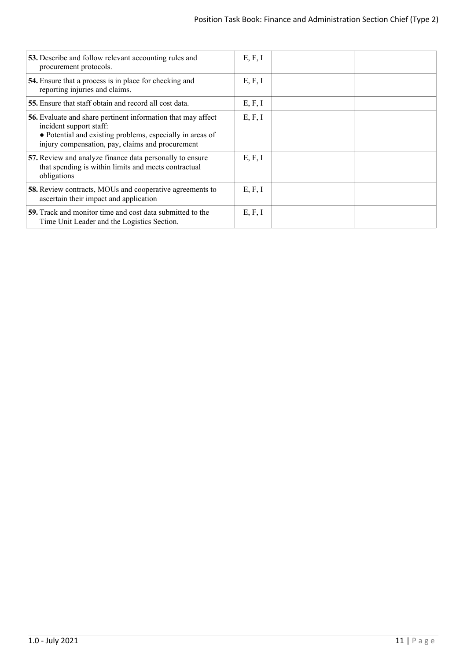| 53. Describe and follow relevant accounting rules and<br>procurement protocols.                                                                                                                                 | E, F, I |  |
|-----------------------------------------------------------------------------------------------------------------------------------------------------------------------------------------------------------------|---------|--|
| 54. Ensure that a process is in place for checking and<br>reporting injuries and claims.                                                                                                                        | E, F, I |  |
| 55. Ensure that staff obtain and record all cost data.                                                                                                                                                          | E, F, I |  |
| <b>56.</b> Evaluate and share pertinent information that may affect<br>incident support staff:<br>• Potential and existing problems, especially in areas of<br>injury compensation, pay, claims and procurement | E, F, I |  |
| 57. Review and analyze finance data personally to ensure<br>that spending is within limits and meets contractual<br>obligations                                                                                 | E, F, I |  |
| <b>58.</b> Review contracts, MOUs and cooperative agreements to<br>ascertain their impact and application                                                                                                       | E, F, I |  |
| <b>59.</b> Track and monitor time and cost data submitted to the<br>Time Unit Leader and the Logistics Section.                                                                                                 | E, F, I |  |